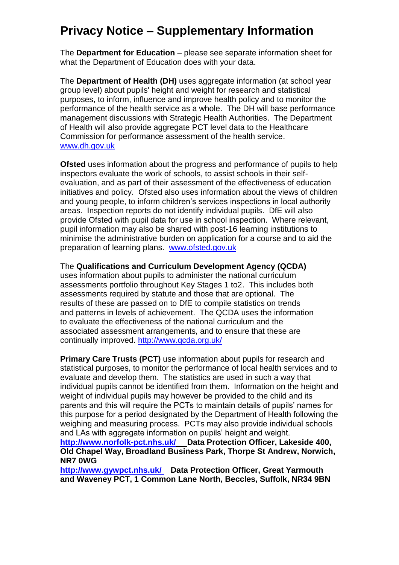## **Privacy Notice – Supplementary Information**

The **Department for Education** – please see separate information sheet for what the Department of Education does with your data.

The **Department of Health (DH)** uses aggregate information (at school year group level) about pupils' height and weight for research and statistical purposes, to inform, influence and improve health policy and to monitor the performance of the health service as a whole. The DH will base performance management discussions with Strategic Health Authorities. The Department of Health will also provide aggregate PCT level data to the Healthcare Commission for performance assessment of the health service. [www.dh.gov.uk](http://www.dh.gov.uk/)

**Ofsted** uses information about the progress and performance of pupils to help inspectors evaluate the work of schools, to assist schools in their selfevaluation, and as part of their assessment of the effectiveness of education initiatives and policy. Ofsted also uses information about the views of children and young people, to inform children's services inspections in local authority areas. Inspection reports do not identify individual pupils. DfE will also provide Ofsted with pupil data for use in school inspection. Where relevant, pupil information may also be shared with post-16 learning institutions to minimise the administrative burden on application for a course and to aid the preparation of learning plans. [www.ofsted.gov.uk](http://www.ofsted.gov.uk/)

The **Qualifications and Curriculum Development Agency (QCDA)** 

uses information about pupils to administer the national curriculum assessments portfolio throughout Key Stages 1 to2. This includes both assessments required by statute and those that are optional. The results of these are passed on to DfE to compile statistics on trends and patterns in levels of achievement. The QCDA uses the information to evaluate the effectiveness of the national curriculum and the associated assessment arrangements, and to ensure that these are continually improved.<http://www.qcda.org.uk/>

**Primary Care Trusts (PCT)** use information about pupils for research and statistical purposes, to monitor the performance of local health services and to evaluate and develop them. The statistics are used in such a way that individual pupils cannot be identified from them. Information on the height and weight of individual pupils may however be provided to the child and its parents and this will require the PCTs to maintain details of pupils' names for this purpose for a period designated by the Department of Health following the weighing and measuring process. PCTs may also provide individual schools and LAs with aggregate information on pupils' height and weight.

**[http://www.norfolk-pct.nhs.uk/](http://www.nhs.uk/England/AuthoritiesTrusts/Pct/Default.aspx) Data Protection Officer, Lakeside 400, Old Chapel Way, Broadland Business Park, Thorpe St Andrew, Norwich, NR7 0WG**

**<http://www.gywpct.nhs.uk/> Data Protection Officer, Great Yarmouth and Waveney PCT, 1 Common Lane North, Beccles, Suffolk, NR34 9BN**